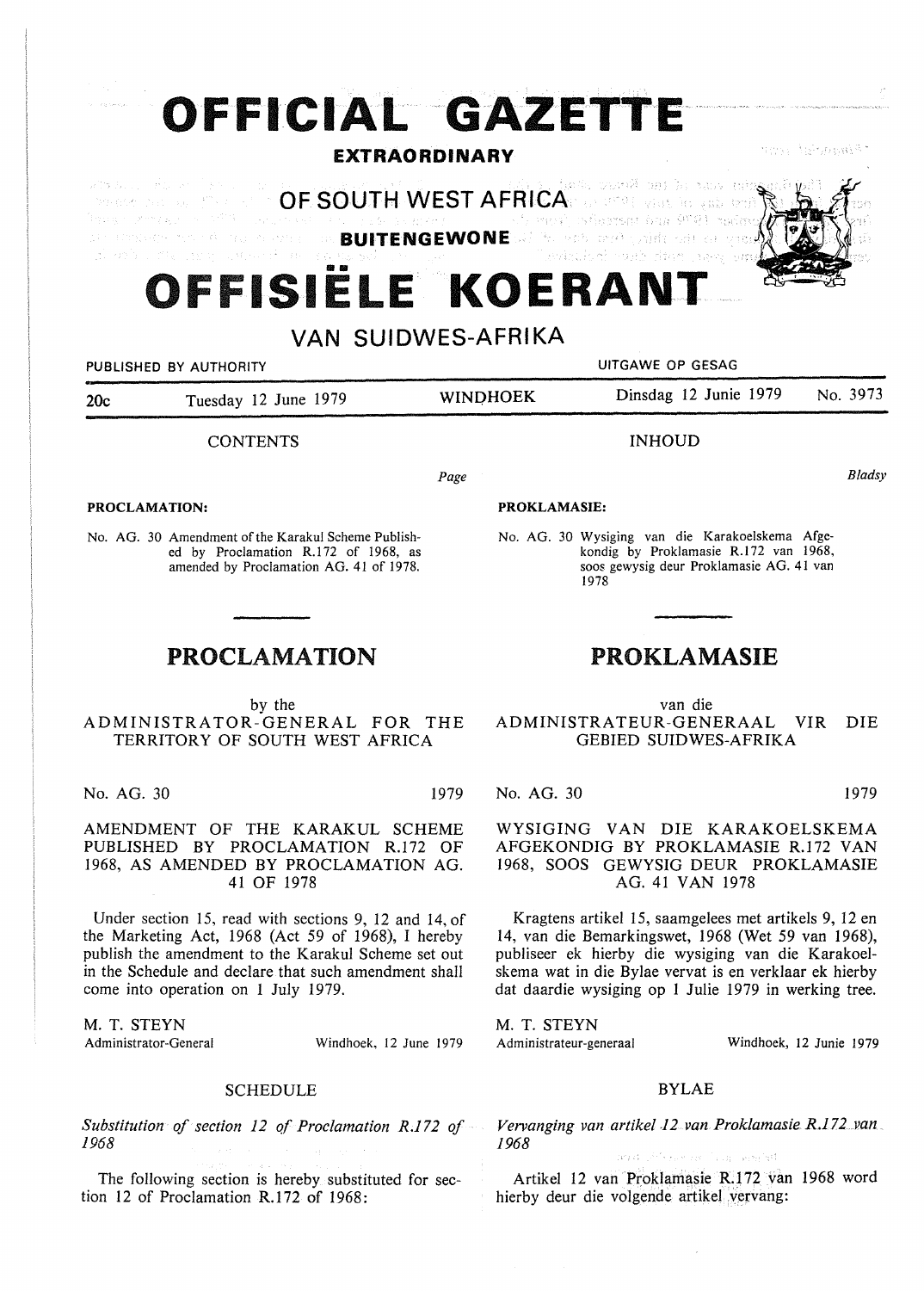# **OFFICIAL GAZETTE**

### **EXTRAORDINARY**

ansi Aghanakat

athetical discover auto contribution direction **OF SOUTH WEST AFRICA Drawing County of the County of the State of the State of the State of the State of the State of the State of the State of the State of the State of the State of the State of the State of the State of the State of the Sta** .<br>Igna i shinyash o <sup>1</sup>afin. han 9791 anis a market som att andre beståret. **BUITENGEWONE**  بالأربوخ وفحوت الأف sida estrela astronomy components.

## **111111 OFFISIELE KOERANT**

## **VAN SUIDWES-AFRIKA**

PUBLISHED BY AUTHORITY **AUTHORITY EXAMPLE 20 IN THE SECOND METAL CONTRANT PUBLISHED BY AUTHORITY** 20c Tuesday 12 June 1979 **WINQHOEK** Dinsdag 12 Junie 1979 No. 3973 **CONTENTS** INHOUD

Page

#### **PROCLAMATION:**

No. AG. 30 Amendment of the Karakul Scheme Published by Proclamation R.172 of 1968, as amended by Proclamation AG. 41 of 1978.

## PROCLAMATION

by the ADMINISTRATOR-GENERAL FOR THE TERRITORY OF SOUTH WEST AFRICA

No. AG. 30 1979

AMENDMENT OF THE KARAKUL SCHEME PUBLISHED BY PROCLAMATION R.172 OF 1968, AS AMENDED BY PROCLAMATION AG. 41 OF 1978

Under section 15, read with sections 9, 12 and 14, of the Marketing Act, 1968 (Act 59 of 1968), I hereby publish the amendment to the Karakul Scheme set out in the Schedule and declare that such amendment shall come into operation on 1 July 1979.

M. T. STEYN<br>Administrator-General

Windhoek, 12 June 1979

#### SCHEDULE

*Substitution of section 12 qf Proclamation R.l 72 of 1968* 

The following section is hereby substituted for section 12 of Proclamation R.172 of 1968:

#### **PROKLAMASIE:**

No. AG. 30 Wysiging van die Karakoelskema Afgekondig by Proklamasie R.172 van 1968, soos gewysig deur Proklamasie AG. 41 van 1978

## PROKLAMASIE

van die ADMINISTRATEUR-GENERAAL VIR DIE GEBIED SUIDWES-AFRIKA

No. AG. 30 1979

WYSIGING VAN DIE KARAKOELSKEMA AFGEKONDIG BY PROKLAMASIE R.172 VAN 1968, SOOS GEWYSIG DEUR PROKLAMASIE AG. 41 VAN 1978

Kragtens artikel 15, saamgelees met artikels 9, 12 en 14, van die Bemarkingswet, 1968 (Wet 59 van 1968), publiseer ek hierby die wysiging van die Karakoelskema wat in die Bylae vervat is en verklaar ek hierby dat daardie wysiging op 1 Julie 1979 in werking tree.

M. T. STEYN Administrateur-generaal

Windhoek, 12 Junie 1979

#### BYLAE

*Vervanging van artikel .12 van Proklamasie R.172 .. van 1968* 

.<br>Tallas Terres 1947

Artikel 12 van Proklamasie R.172 van 1968 word hierby deur die volgende artikel vervang:

*Bladsy*